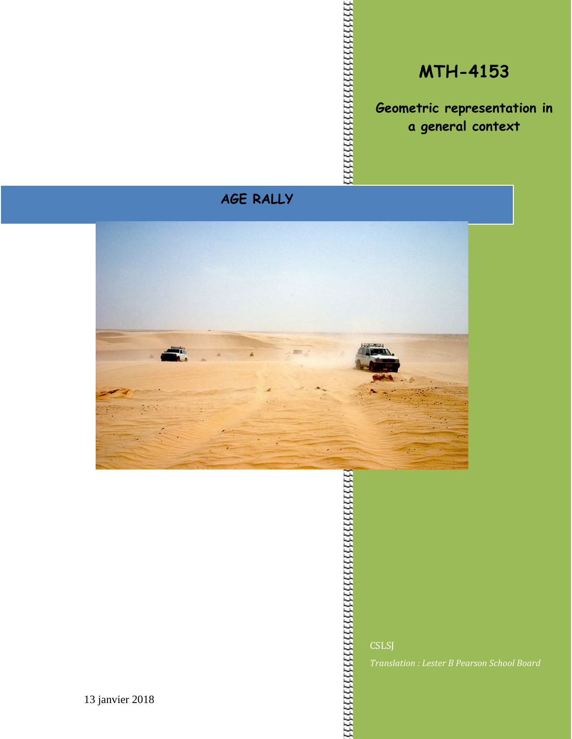### **MTH-4153**

**Geometric representation in a general context**

### **AGE RALLY**



**CSLSJ** 

*Translation : Lester B Pearson School Board*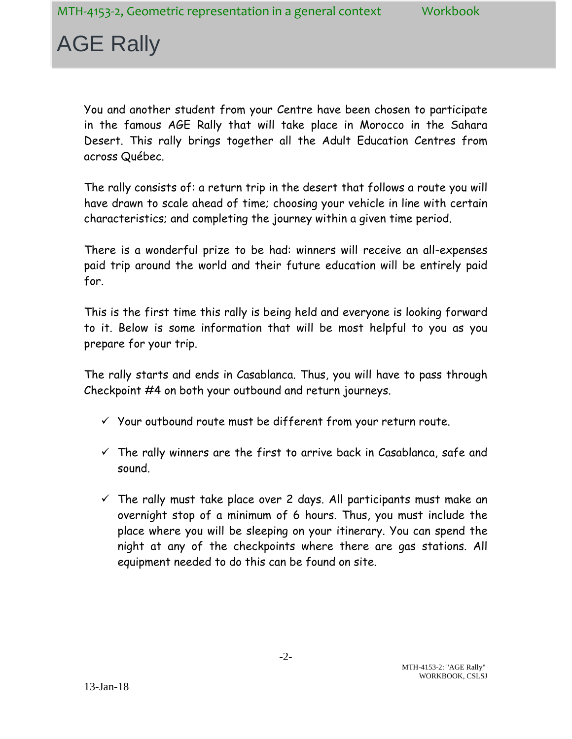You and another student from your Centre have been chosen to participate in the famous AGE Rally that will take place in Morocco in the Sahara Desert. This rally brings together all the Adult Education Centres from across Québec.

The rally consists of: a return trip in the desert that follows a route you will have drawn to scale ahead of time; choosing your vehicle in line with certain characteristics; and completing the journey within a given time period.

There is a wonderful prize to be had: winners will receive an all-expenses paid trip around the world and their future education will be entirely paid for.

This is the first time this rally is being held and everyone is looking forward to it. Below is some information that will be most helpful to you as you prepare for your trip.

The rally starts and ends in Casablanca. Thus, you will have to pass through Checkpoint #4 on both your outbound and return journeys.

- $\checkmark$  Your outbound route must be different from your return route.
- $\checkmark$  The rally winners are the first to arrive back in Casablanca, safe and sound.
- $\checkmark$  The rally must take place over 2 days. All participants must make an overnight stop of a minimum of 6 hours. Thus, you must include the place where you will be sleeping on your itinerary. You can spend the night at any of the checkpoints where there are gas stations. All equipment needed to do this can be found on site.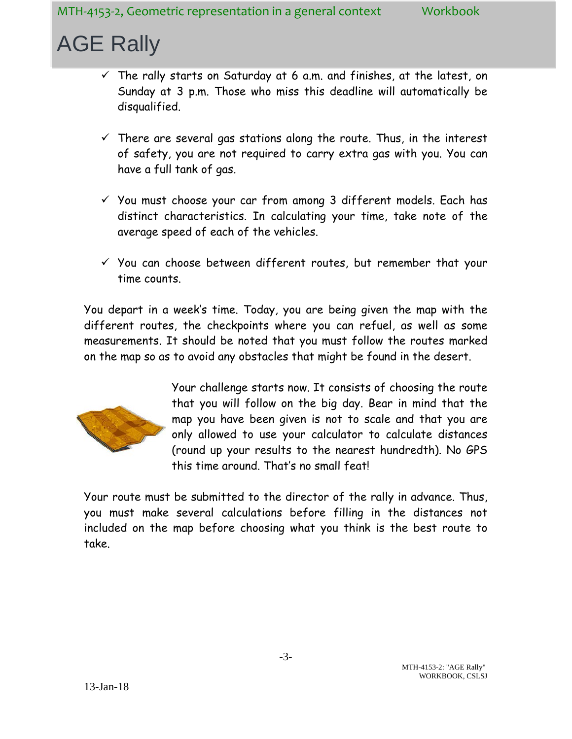- $\checkmark$  The rally starts on Saturday at 6 a.m. and finishes, at the latest, on Sunday at 3 p.m. Those who miss this deadline will automatically be disqualified.
- $\checkmark$  There are several gas stations along the route. Thus, in the interest of safety, you are not required to carry extra gas with you. You can have a full tank of gas.
- $\checkmark$  You must choose your car from among 3 different models. Each has distinct characteristics. In calculating your time, take note of the average speed of each of the vehicles.
- $\checkmark$  You can choose between different routes, but remember that your time counts.

You depart in a week's time. Today, you are being given the map with the different routes, the checkpoints where you can refuel, as well as some measurements. It should be noted that you must follow the routes marked on the map so as to avoid any obstacles that might be found in the desert.



Your challenge starts now. It consists of choosing the route that you will follow on the big day. Bear in mind that the map you have been given is not to scale and that you are only allowed to use your calculator to calculate distances (round up your results to the nearest hundredth). No GPS this time around. That's no small feat!

Your route must be submitted to the director of the rally in advance. Thus, you must make several calculations before filling in the distances not included on the map before choosing what you think is the best route to take.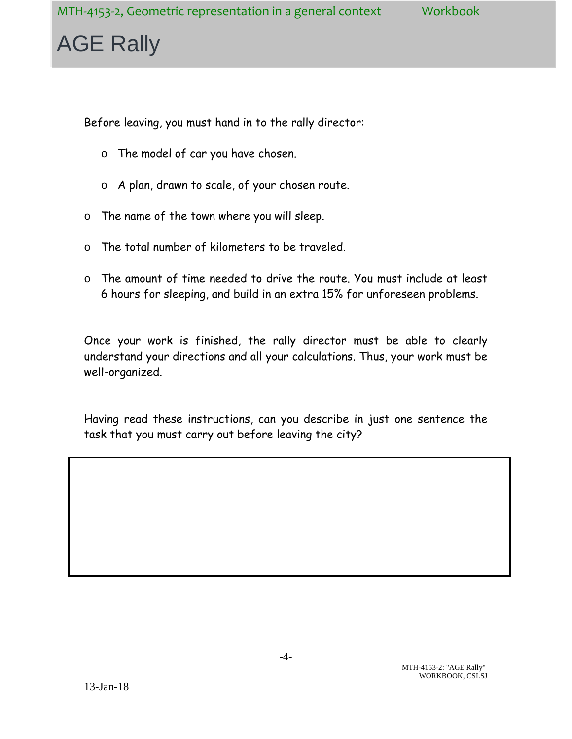Before leaving, you must hand in to the rally director:

- o The model of car you have chosen.
- o A plan, drawn to scale, of your chosen route.
- o The name of the town where you will sleep.
- o The total number of kilometers to be traveled.
- o The amount of time needed to drive the route. You must include at least 6 hours for sleeping, and build in an extra 15% for unforeseen problems.

Once your work is finished, the rally director must be able to clearly understand your directions and all your calculations. Thus, your work must be well-organized.

Having read these instructions, can you describe in just one sentence the task that you must carry out before leaving the city?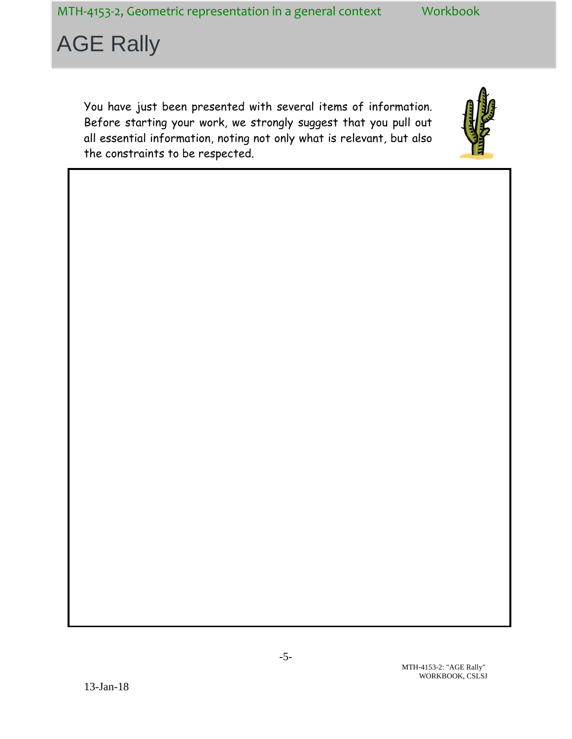You have just been presented with several items of information. Before starting your work, we strongly suggest that you pull out all essential information, noting not only what is relevant, but also the constraints to be respected.

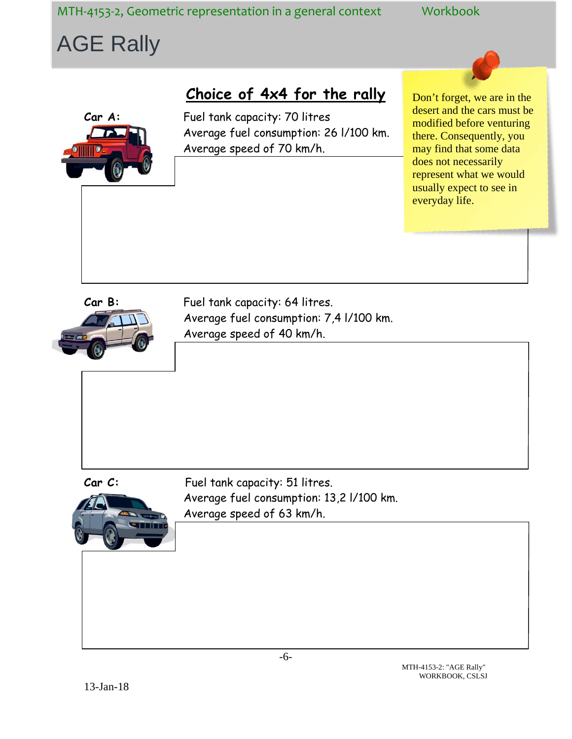MTH-4153-2, Geometric representation in a general context Workbook

### AGE Rally

### **Choice of 4x4 for the rally**

**Car A:** Fuel tank capacity: 70 litres Average fuel consumption: 26 l/100 km. Average speed of 70 km/h.

Don't forget, we are in the desert and the cars must be modified before venturing there. Consequently, you may find that some data does not necessarily represent what we would usually expect to see in everyday life.



Car B: Fuel tank capacity: 64 litres. Average fuel consumption: 7,4 l/100 km. Average speed of 40 km/h.



Car C: Fuel tank capacity: 51 litres. Average fuel consumption: 13,2 l/100 km. Average speed of 63 km/h.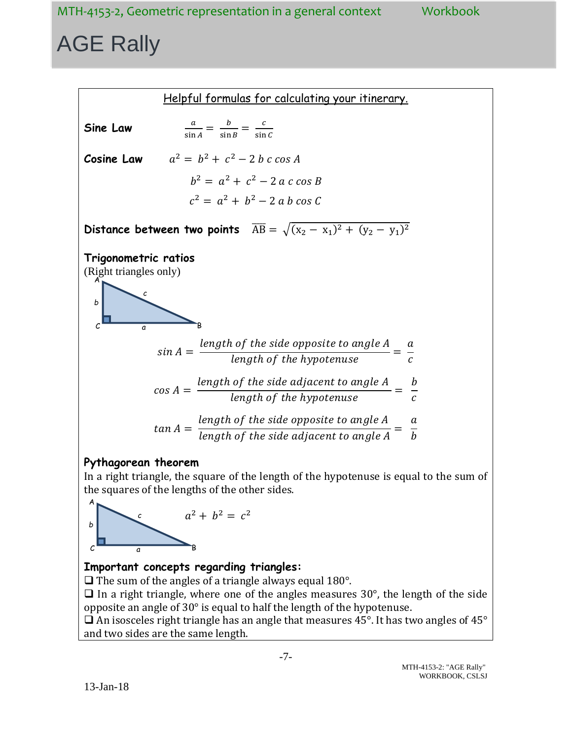

In a right triangle, the square of the length of the hypotenuse is equal to the sum of the squares of the lengths of the other sides.

#### $a^2 + b^2 = c^2$ *b*  $c \rightarrow a$  B A *c a*

### **Important concepts regarding triangles:**

 $\Box$  The sum of the angles of a triangle always equal 180°.

 $\Box$  In a right triangle, where one of the angles measures 30°, the length of the side opposite an angle of 30° is equal to half the length of the hypotenuse.

 $\Box$  An isosceles right triangle has an angle that measures 45°. It has two angles of 45° and two sides are the same length.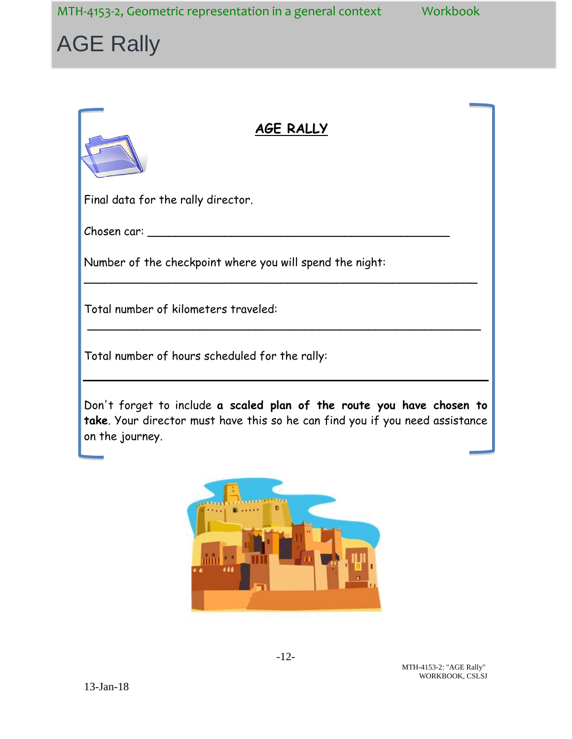MTH-4153-2, Geometric representation in a general context Workbook

# AGE Rally

### **AGE RALLY**

Final data for the rally director.

Chosen car: \_\_\_\_\_\_\_\_\_\_\_\_\_\_\_\_\_\_\_\_\_\_\_\_\_\_\_\_\_\_\_\_\_\_\_\_\_\_\_\_\_\_\_

Number of the checkpoint where you will spend the night:

Total number of kilometers traveled:

Total number of hours scheduled for the rally:

Don't forget to include **a scaled plan of the route you have chosen to take**. Your director must have this so he can find you if you need assistance on the journey.

\_\_\_\_\_\_\_\_\_\_\_\_\_\_\_\_\_\_\_\_\_\_\_\_\_\_\_\_\_\_\_\_\_\_\_\_\_\_\_\_\_\_\_\_\_\_\_\_\_\_\_\_\_\_\_\_

\_\_\_\_\_\_\_\_\_\_\_\_\_\_\_\_\_\_\_\_\_\_\_\_\_\_\_\_\_\_\_\_\_\_\_\_\_\_\_\_\_\_\_\_\_\_\_\_\_\_\_\_\_\_\_\_



MTH-4153-2: "AGE Rally" WORKBOOK, CSLSJ